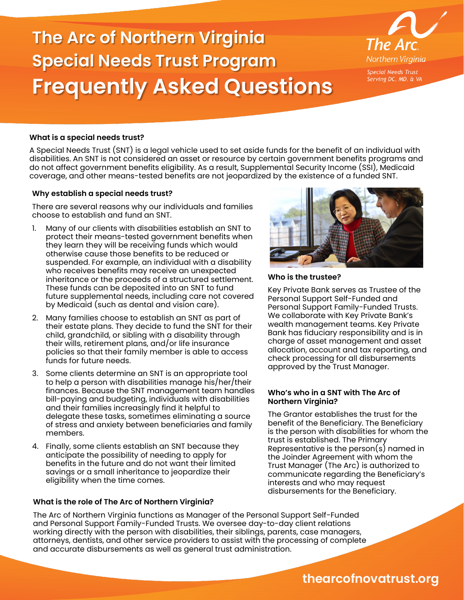# **The Arc of Northern Virginia Special Needs Trust Program Frequently Asked Questions**



# **What is a special needs trust?**

A Special Needs Trust (SNT) is a legal vehicle used to set aside funds for the benefit of an individual with disabilities. An SNT is not considered an asset or resource by certain government benefits programs and do not affect government benefits eligibility. As a result, Supplemental Security Income (SSI), Medicaid coverage, and other means-tested benefits are not jeopardized by the existence of a funded SNT.

## **Why establish a special needs trust?**

There are several reasons why our individuals and families choose to establish and fund an SNT.

- 1. Many of our clients with disabilities establish an SNT to protect their means-tested government benefits when they learn they will be receiving funds which would otherwise cause those benefits to be reduced or suspended. For example, an individual with a disability who receives benefits may receive an unexpected inheritance or the proceeds of a structured settlement. These funds can be deposited into an SNT to fund future supplemental needs, including care not covered by Medicaid (such as dental and vision care).
- 2. Many families choose to establish an SNT as part of their estate plans. They decide to fund the SNT for their child, grandchild, or sibling with a disability through their wills, retirement plans, and/or life insurance policies so that their family member is able to access funds for future needs.
- 3. Some clients determine an SNT is an appropriate tool to help a person with disabilities manage his/her/their finances. Because the SNT management team handles bill-paying and budgeting, individuals with disabilities and their families increasingly find it helpful to delegate these tasks, sometimes eliminating a source of stress and anxiety between beneficiaries and family members.
- 4. Finally, some clients establish an SNT because they anticipate the possibility of needing to apply for benefits in the future and do not want their limited savings or a small inheritance to jeopardize their eligibility when the time comes.

## **What is the role of The Arc of Northern Virginia?**



**Who is the trustee?**

Key Private Bank serves as Trustee of the Personal Support Self-Funded and Personal Support Family-Funded Trusts. We collaborate with Key Private Bank's wealth management teams. Key Private Bank has fiduciary responsibility and is in charge of asset management and asset allocation, account and tax reporting, and check processing for all disbursements approved by the Trust Manager.

#### **Who's who in a SNT with The Arc of Northern Virginia?**

The Grantor establishes the trust for the benefit of the Beneficiary. The Beneficiary is the person with disabilities for whom the trust is established. The Primary Representative is the person(s) named in the Joinder Agreement with whom the Trust Manager (The Arc) is authorized to communicate regarding the Beneficiary's interests and who may request disbursements for the Beneficiary.

The Arc of Northern Virginia functions as Manager of the Personal Support Self-Funded and Personal Support Family-Funded Trusts. We oversee day-to-day client relations working directly with the person with disabilities, their siblings, parents, case managers, attorneys, dentists, and other service providers to assist with the processing of complete and accurate disbursements as well as general trust administration.